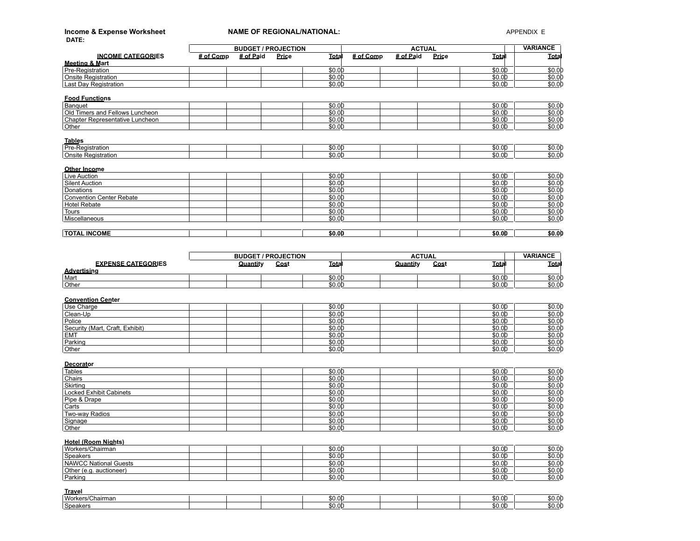| Income & Expense Worksheet<br>DATE:             | <b>NAME OF REGIONAL/NATIONAL:</b> |                            |                             |               | APPENDIX E     |                   |
|-------------------------------------------------|-----------------------------------|----------------------------|-----------------------------|---------------|----------------|-------------------|
|                                                 |                                   | <b>BUDGET / PROJECTION</b> |                             | <b>ACTUAL</b> |                | <b>VARIANCE</b>   |
| <b>INCOME CATEGORIES</b>                        | # of Paid<br># of Comp            | Price                      | $#$ of Comp<br><b>Total</b> | # of Paid     | Price<br>Total | Total             |
| Meeting & Mart<br>Pre-Registration              |                                   |                            | \$0.00                      |               | \$0.00         | \$0.00            |
| <b>Onsite Registration</b>                      |                                   |                            | \$0.00                      |               | \$0.00         | \$0.00            |
| <b>Last Day Registration</b>                    |                                   |                            | \$0.00                      |               | \$0.00         | \$0.00            |
| <b>Food Functions</b>                           |                                   |                            |                             |               |                |                   |
| Banquet                                         |                                   |                            | \$0.00                      |               | \$0.00         | \$0.00            |
| Old Timers and Fellows Luncheon                 |                                   |                            | \$0.00                      |               | \$0.00         | \$0.00            |
| Chapter Representative Luncheon                 |                                   |                            | \$0.00                      |               | \$0.00         | \$0.00            |
| Other                                           |                                   |                            | \$0.00                      |               | \$0.00         | \$0.00            |
| <b>Tables</b>                                   |                                   |                            |                             |               |                |                   |
| Pre-Registration                                |                                   |                            | \$0.00                      |               | \$0.00         | \$0.00            |
| <b>Onsite Registration</b>                      |                                   |                            | \$0.00                      |               | \$0.00         | \$0.00            |
|                                                 |                                   |                            |                             |               |                |                   |
| Other Income<br><b>Live Auction</b>             |                                   |                            | \$0.00                      |               | \$0.00         | \$0.00            |
| <b>Silent Auction</b>                           |                                   |                            | \$0.00                      |               | \$0.00         | \$0.00            |
| Donations                                       |                                   |                            | \$0.00                      |               | \$0.00         | \$0.00            |
| <b>Convention Center Rebate</b>                 |                                   |                            | \$0.00                      |               | \$0.00         | \$0.00            |
| <b>Hotel Rebate</b>                             |                                   |                            | \$0.00                      |               | \$0.00         | \$0.00            |
| Tours                                           |                                   |                            | \$0.00                      |               | \$0.00         | \$0.00            |
| Miscellaneous                                   |                                   |                            | \$0.00                      |               | \$0.00         | \$0.00            |
|                                                 |                                   |                            |                             |               |                |                   |
| <b>TOTAL INCOME</b>                             |                                   |                            | \$0.00                      |               | \$0.00         | \$0.00            |
|                                                 |                                   |                            |                             |               |                |                   |
|                                                 |                                   | <b>BUDGET / PROJECTION</b> |                             | <b>ACTUAL</b> |                | <b>VARIANCE</b>   |
| <b>EXPENSE CATEGORIES</b><br><b>Advertising</b> | Quantity                          | Cost                       | Total                       | Quantity      | Cost<br>Total  | <b>Total</b>      |
| Mart                                            |                                   |                            | \$0.00                      |               | \$0.00         | \$0.00            |
| Other                                           |                                   |                            | \$0.00                      |               | \$0.00         | \$0.00            |
|                                                 |                                   |                            |                             |               |                |                   |
| <b>Convention Center</b><br>Use Charge          |                                   |                            | \$0.00                      |               | \$0.00         | \$0.00            |
| Clean-Up                                        |                                   |                            | \$0.00                      |               | \$0.00         | \$0.00            |
| Police                                          |                                   |                            | \$0.00                      |               | \$0.00         | \$0.00            |
| Security (Mart, Craft, Exhibit)                 |                                   |                            | \$0.00                      |               | \$0.00         | \$0.00            |
| <b>EMT</b>                                      |                                   |                            | \$0.00                      |               | \$0.00         | \$0.00            |
| Parking                                         |                                   |                            | \$0.00                      |               | \$0.00         | \$0.00            |
| Other                                           |                                   |                            | \$0.00                      |               | \$0.00         | \$0.00            |
|                                                 |                                   |                            |                             |               |                |                   |
| Decorator<br><b>Tables</b>                      |                                   |                            | \$0.00                      |               | \$0.00         | \$0.00            |
| Chairs                                          |                                   |                            | \$0.00                      |               | \$0.00         | \$0.00            |
| Skirting                                        |                                   |                            | \$0.00                      |               | \$0.00         | \$0.00            |
| Locked Exhibit Cabinets                         |                                   |                            | \$0.00                      |               | \$0.00         | \$0.00            |
| Pipe & Drape                                    |                                   |                            | \$0.00                      |               | \$0.00         | \$0.00            |
| Carts                                           |                                   |                            | \$0.00                      |               | \$0.00         | \$0.00            |
| Two-way Radios                                  |                                   |                            | \$0.00                      |               | \$0.00         | \$0.00            |
| Signage                                         |                                   |                            | \$0.00                      |               | \$0.00         | \$0.00            |
| Other                                           |                                   |                            | \$0.00                      |               | \$0.00         | $\frac{1}{0}0.00$ |
| Hotel (Room Nights)                             |                                   |                            |                             |               |                |                   |
| Workers/Chairman                                |                                   |                            | \$0.00                      |               | \$0.00         | \$0.00            |
| Speakers                                        |                                   |                            | \$0.00                      |               | \$0.00         | \$0.00            |
| <b>NAWCC National Guests</b>                    |                                   |                            | \$0.00                      |               | \$0.00         | \$0.00            |
| Other (e.g. auctioneer)                         |                                   |                            | \$0.00                      |               | \$0.00         | \$0.00            |
| Parking                                         |                                   |                            | \$0.00                      |               | \$0.00         | <u>\$0.0</u> 0    |
|                                                 |                                   |                            |                             |               |                |                   |
| <b>Travel</b>                                   |                                   |                            |                             |               |                |                   |
| Workers/Chairman                                |                                   |                            | \$0.00                      |               | \$0.00         | \$0.0             |

Speakers \$0.00 \$0.00 \$0.00